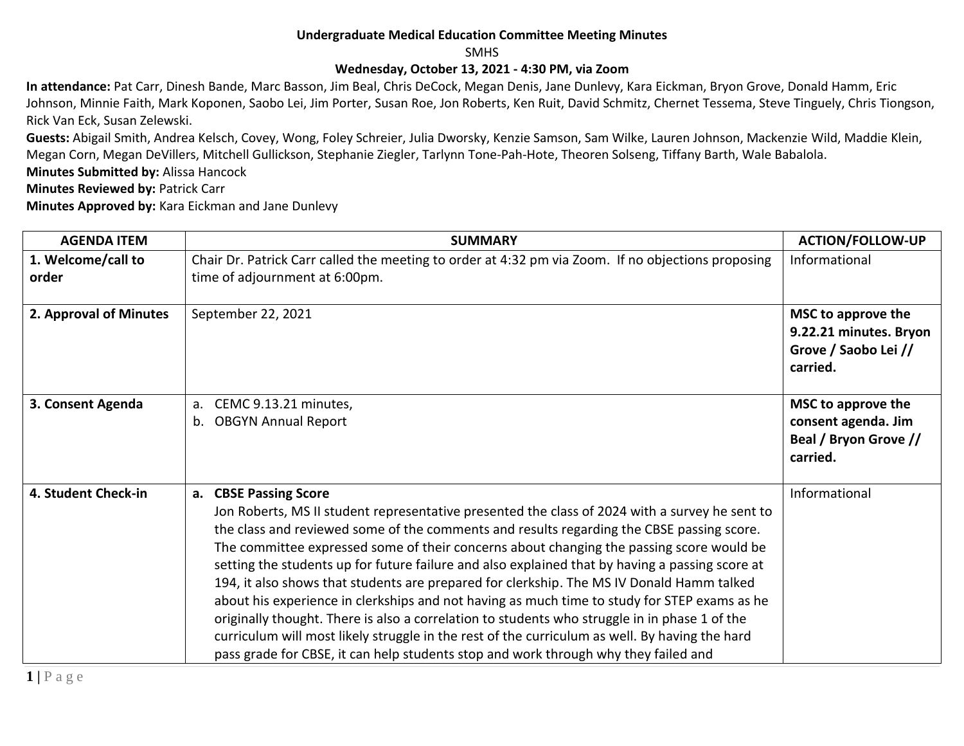## **Undergraduate Medical Education Committee Meeting Minutes**

SMHS

## **Wednesday, October 13, 2021 - 4:30 PM, via Zoom**

**In attendance:** Pat Carr, Dinesh Bande, Marc Basson, Jim Beal, Chris DeCock, Megan Denis, Jane Dunlevy, Kara Eickman, Bryon Grove, Donald Hamm, Eric Johnson, Minnie Faith, Mark Koponen, Saobo Lei, Jim Porter, Susan Roe, Jon Roberts, Ken Ruit, David Schmitz, Chernet Tessema, Steve Tinguely, Chris Tiongson, Rick Van Eck, Susan Zelewski.

**Guests:** Abigail Smith, Andrea Kelsch, Covey, Wong, Foley Schreier, Julia Dworsky, Kenzie Samson, Sam Wilke, Lauren Johnson, Mackenzie Wild, Maddie Klein, Megan Corn, Megan DeVillers, Mitchell Gullickson, Stephanie Ziegler, Tarlynn Tone-Pah-Hote, Theoren Solseng, Tiffany Barth, Wale Babalola.

**Minutes Submitted by:** Alissa Hancock

**Minutes Reviewed by: Patrick Carr** 

**Minutes Approved by:** Kara Eickman and Jane Dunlevy

| <b>AGENDA ITEM</b>          | <b>SUMMARY</b>                                                                                                                                                                                                                                                                                                                                                                                                                                                                                                                                                                                                                                                                                                                                                                                                                                                                                             | <b>ACTION/FOLLOW-UP</b>                                                          |
|-----------------------------|------------------------------------------------------------------------------------------------------------------------------------------------------------------------------------------------------------------------------------------------------------------------------------------------------------------------------------------------------------------------------------------------------------------------------------------------------------------------------------------------------------------------------------------------------------------------------------------------------------------------------------------------------------------------------------------------------------------------------------------------------------------------------------------------------------------------------------------------------------------------------------------------------------|----------------------------------------------------------------------------------|
| 1. Welcome/call to<br>order | Chair Dr. Patrick Carr called the meeting to order at 4:32 pm via Zoom. If no objections proposing<br>time of adjournment at 6:00pm.                                                                                                                                                                                                                                                                                                                                                                                                                                                                                                                                                                                                                                                                                                                                                                       | Informational                                                                    |
| 2. Approval of Minutes      | September 22, 2021                                                                                                                                                                                                                                                                                                                                                                                                                                                                                                                                                                                                                                                                                                                                                                                                                                                                                         | MSC to approve the<br>9.22.21 minutes. Bryon<br>Grove / Saobo Lei //<br>carried. |
| 3. Consent Agenda           | CEMC 9.13.21 minutes,<br>a.<br><b>OBGYN Annual Report</b><br>b.                                                                                                                                                                                                                                                                                                                                                                                                                                                                                                                                                                                                                                                                                                                                                                                                                                            | MSC to approve the<br>consent agenda. Jim<br>Beal / Bryon Grove //<br>carried.   |
| 4. Student Check-in         | a. CBSE Passing Score<br>Jon Roberts, MS II student representative presented the class of 2024 with a survey he sent to<br>the class and reviewed some of the comments and results regarding the CBSE passing score.<br>The committee expressed some of their concerns about changing the passing score would be<br>setting the students up for future failure and also explained that by having a passing score at<br>194, it also shows that students are prepared for clerkship. The MS IV Donald Hamm talked<br>about his experience in clerkships and not having as much time to study for STEP exams as he<br>originally thought. There is also a correlation to students who struggle in in phase 1 of the<br>curriculum will most likely struggle in the rest of the curriculum as well. By having the hard<br>pass grade for CBSE, it can help students stop and work through why they failed and | Informational                                                                    |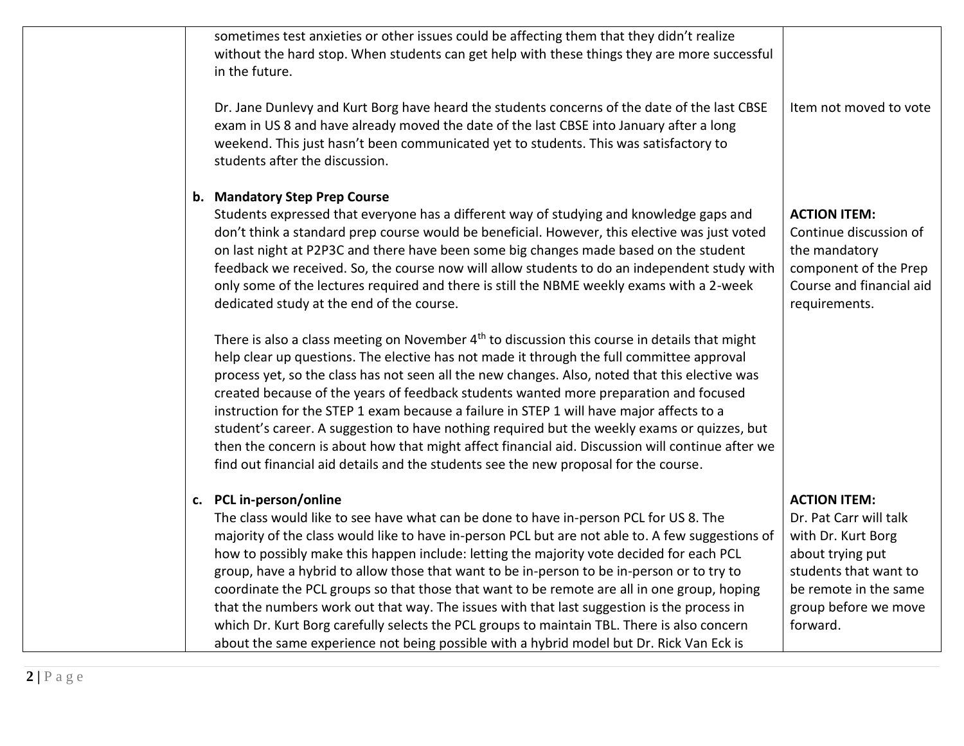| sometimes test anxieties or other issues could be affecting them that they didn't realize<br>without the hard stop. When students can get help with these things they are more successful<br>in the future.                                                                                                                                                                                                                                                                                                                                                                                                                                                                                                                                                                                            |                                                                                                                                                                               |
|--------------------------------------------------------------------------------------------------------------------------------------------------------------------------------------------------------------------------------------------------------------------------------------------------------------------------------------------------------------------------------------------------------------------------------------------------------------------------------------------------------------------------------------------------------------------------------------------------------------------------------------------------------------------------------------------------------------------------------------------------------------------------------------------------------|-------------------------------------------------------------------------------------------------------------------------------------------------------------------------------|
| Dr. Jane Dunlevy and Kurt Borg have heard the students concerns of the date of the last CBSE<br>exam in US 8 and have already moved the date of the last CBSE into January after a long<br>weekend. This just hasn't been communicated yet to students. This was satisfactory to<br>students after the discussion.                                                                                                                                                                                                                                                                                                                                                                                                                                                                                     | Item not moved to vote                                                                                                                                                        |
| b. Mandatory Step Prep Course<br>Students expressed that everyone has a different way of studying and knowledge gaps and<br>don't think a standard prep course would be beneficial. However, this elective was just voted<br>on last night at P2P3C and there have been some big changes made based on the student<br>feedback we received. So, the course now will allow students to do an independent study with<br>only some of the lectures required and there is still the NBME weekly exams with a 2-week<br>dedicated study at the end of the course.                                                                                                                                                                                                                                           | <b>ACTION ITEM:</b><br>Continue discussion of<br>the mandatory<br>component of the Prep<br>Course and financial aid<br>requirements.                                          |
| There is also a class meeting on November 4 <sup>th</sup> to discussion this course in details that might<br>help clear up questions. The elective has not made it through the full committee approval<br>process yet, so the class has not seen all the new changes. Also, noted that this elective was<br>created because of the years of feedback students wanted more preparation and focused<br>instruction for the STEP 1 exam because a failure in STEP 1 will have major affects to a<br>student's career. A suggestion to have nothing required but the weekly exams or quizzes, but<br>then the concern is about how that might affect financial aid. Discussion will continue after we<br>find out financial aid details and the students see the new proposal for the course.              |                                                                                                                                                                               |
| c. PCL in-person/online<br>The class would like to see have what can be done to have in-person PCL for US 8. The<br>majority of the class would like to have in-person PCL but are not able to. A few suggestions of<br>how to possibly make this happen include: letting the majority vote decided for each PCL<br>group, have a hybrid to allow those that want to be in-person to be in-person or to try to<br>coordinate the PCL groups so that those that want to be remote are all in one group, hoping<br>that the numbers work out that way. The issues with that last suggestion is the process in<br>which Dr. Kurt Borg carefully selects the PCL groups to maintain TBL. There is also concern<br>about the same experience not being possible with a hybrid model but Dr. Rick Van Eck is | <b>ACTION ITEM:</b><br>Dr. Pat Carr will talk<br>with Dr. Kurt Borg<br>about trying put<br>students that want to<br>be remote in the same<br>group before we move<br>forward. |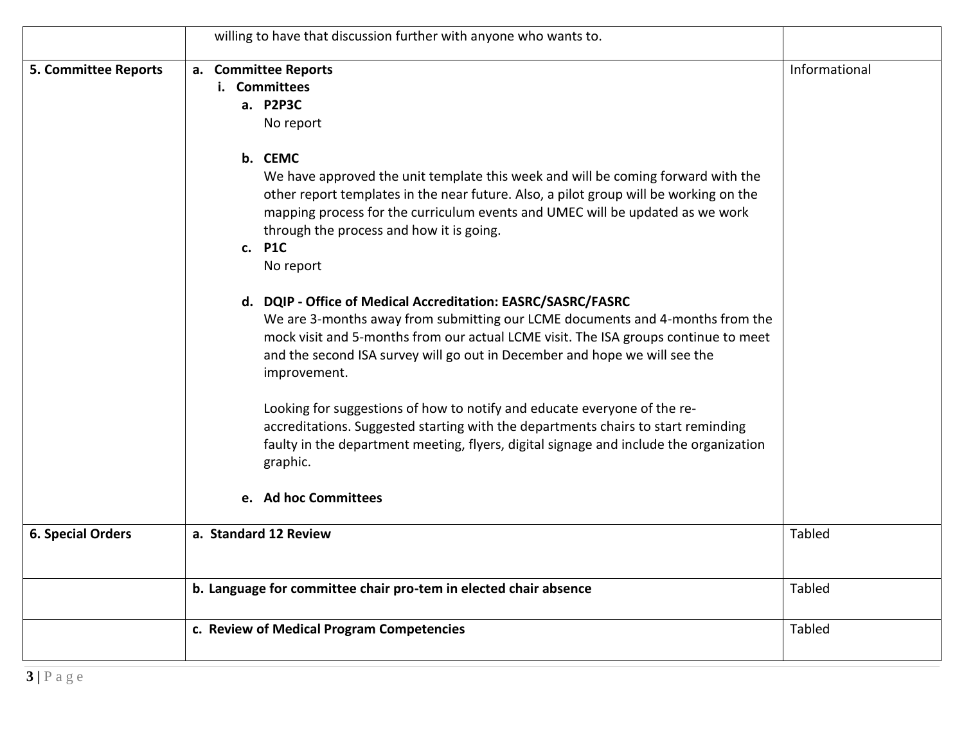|                             | willing to have that discussion further with anyone who wants to.                                                                                                                                                                                                                                                                                                                                                                                                                                                                                                                                                                                                                                                                                                                                                                                                                                                                                                                                                                               |               |
|-----------------------------|-------------------------------------------------------------------------------------------------------------------------------------------------------------------------------------------------------------------------------------------------------------------------------------------------------------------------------------------------------------------------------------------------------------------------------------------------------------------------------------------------------------------------------------------------------------------------------------------------------------------------------------------------------------------------------------------------------------------------------------------------------------------------------------------------------------------------------------------------------------------------------------------------------------------------------------------------------------------------------------------------------------------------------------------------|---------------|
| <b>5. Committee Reports</b> | a. Committee Reports<br>i. Committees<br>a. P2P3C<br>No report<br>b. CEMC<br>We have approved the unit template this week and will be coming forward with the<br>other report templates in the near future. Also, a pilot group will be working on the<br>mapping process for the curriculum events and UMEC will be updated as we work<br>through the process and how it is going.<br>c. P1C<br>No report<br>d. DQIP - Office of Medical Accreditation: EASRC/SASRC/FASRC<br>We are 3-months away from submitting our LCME documents and 4-months from the<br>mock visit and 5-months from our actual LCME visit. The ISA groups continue to meet<br>and the second ISA survey will go out in December and hope we will see the<br>improvement.<br>Looking for suggestions of how to notify and educate everyone of the re-<br>accreditations. Suggested starting with the departments chairs to start reminding<br>faulty in the department meeting, flyers, digital signage and include the organization<br>graphic.<br>e. Ad hoc Committees | Informational |
| <b>6. Special Orders</b>    | a. Standard 12 Review                                                                                                                                                                                                                                                                                                                                                                                                                                                                                                                                                                                                                                                                                                                                                                                                                                                                                                                                                                                                                           | <b>Tabled</b> |
|                             | b. Language for committee chair pro-tem in elected chair absence                                                                                                                                                                                                                                                                                                                                                                                                                                                                                                                                                                                                                                                                                                                                                                                                                                                                                                                                                                                | Tabled        |
|                             | c. Review of Medical Program Competencies                                                                                                                                                                                                                                                                                                                                                                                                                                                                                                                                                                                                                                                                                                                                                                                                                                                                                                                                                                                                       | <b>Tabled</b> |